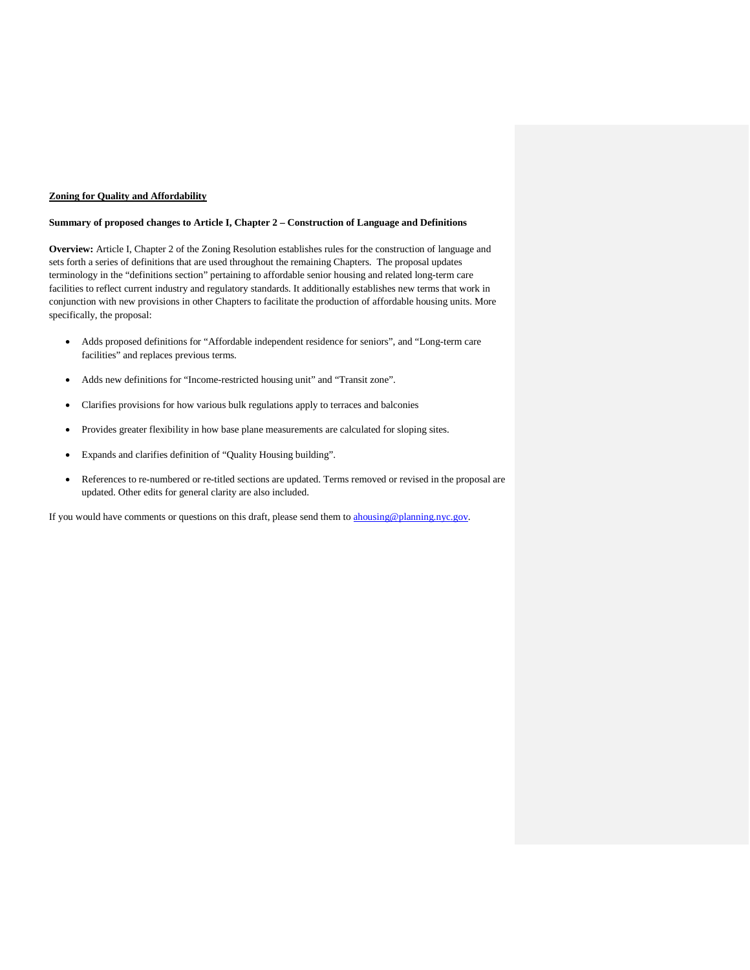## **Zoning for Quality and Affordability**

#### **Summary of proposed changes to Article I, Chapter 2 – Construction of Language and Definitions**

**Overview:** Article I, Chapter 2 of the Zoning Resolution establishes rules for the construction of language and sets forth a series of definitions that are used throughout the remaining Chapters. The proposal updates terminology in the "definitions section" pertaining to affordable senior housing and related long-term care facilities to reflect current industry and regulatory standards. It additionally establishes new terms that work in conjunction with new provisions in other Chapters to facilitate the production of affordable housing units. More specifically, the proposal:

- Adds proposed definitions for "Affordable independent residence for seniors", and "Long-term care facilities" and replaces previous terms.
- Adds new definitions for "Income-restricted housing unit" and "Transit zone".
- Clarifies provisions for how various bulk regulations apply to terraces and balconies
- Provides greater flexibility in how base plane measurements are calculated for sloping sites.
- Expands and clarifies definition of "Quality Housing building".
- References to re-numbered or re-titled sections are updated. Terms removed or revised in the proposal are updated. Other edits for general clarity are also included.

If you would have comments or questions on this draft, please send them to [ahousing@planning.nyc.gov.](mailto:ahousing@planning.nyc.gov)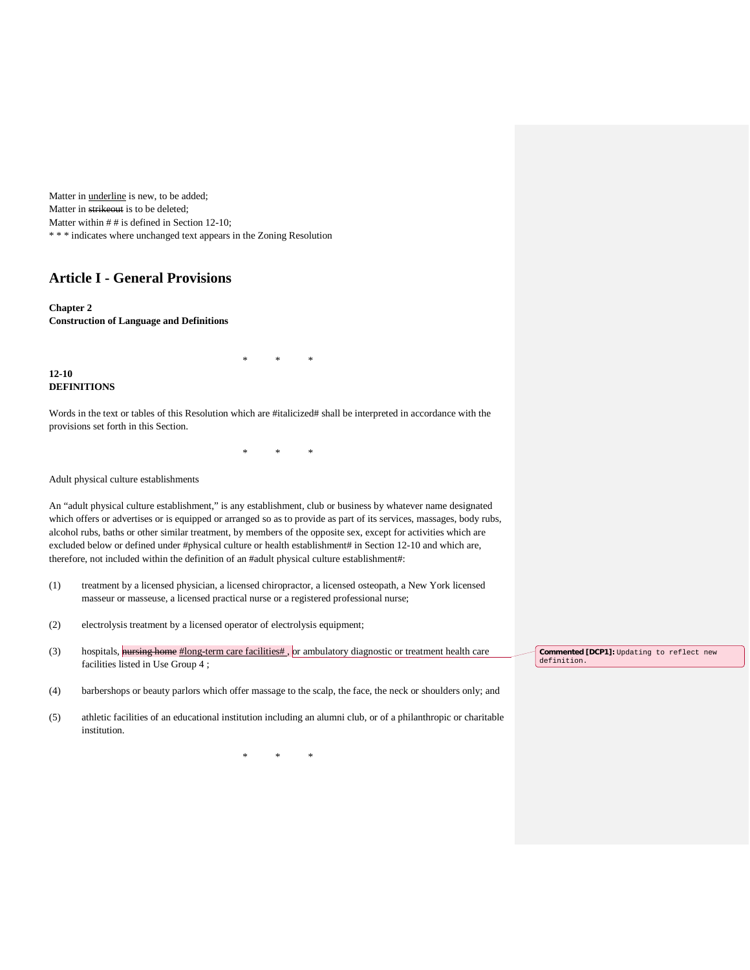Matter in underline is new, to be added; Matter in strikeout is to be deleted; Matter within  $#$  # is defined in Section 12-10; \* \* \* indicates where unchanged text appears in the Zoning Resolution

# **Article I - General Provisions**

**Chapter 2 Construction of Language and Definitions**

**12-10 DEFINITIONS**

Words in the text or tables of this Resolution which are #italicized# shall be interpreted in accordance with the provisions set forth in this Section.

\* \* \*

\* \* \*

Adult physical culture establishments

An "adult physical culture establishment," is any establishment, club or business by whatever name designated which offers or advertises or is equipped or arranged so as to provide as part of its services, massages, body rubs, alcohol rubs, baths or other similar treatment, by members of the opposite sex, except for activities which are excluded below or defined under #physical culture or health establishment# in Section 12-10 and which are, therefore, not included within the definition of an #adult physical culture establishment#:

- (1) treatment by a licensed physician, a licensed chiropractor, a licensed osteopath, a New York licensed masseur or masseuse, a licensed practical nurse or a registered professional nurse;
- (2) electrolysis treatment by a licensed operator of electrolysis equipment;
- (3) hospitals, **nursing home**  $\#$ long-term care facilities $\#$ , or ambulatory diagnostic or treatment health care facilities listed in Use Group 4 ;
- (4) barbershops or beauty parlors which offer massage to the scalp, the face, the neck or shoulders only; and
- (5) athletic facilities of an educational institution including an alumni club, or of a philanthropic or charitable institution.

\* \* \*

**Commented [DCP1]:** Updating to reflect new definition.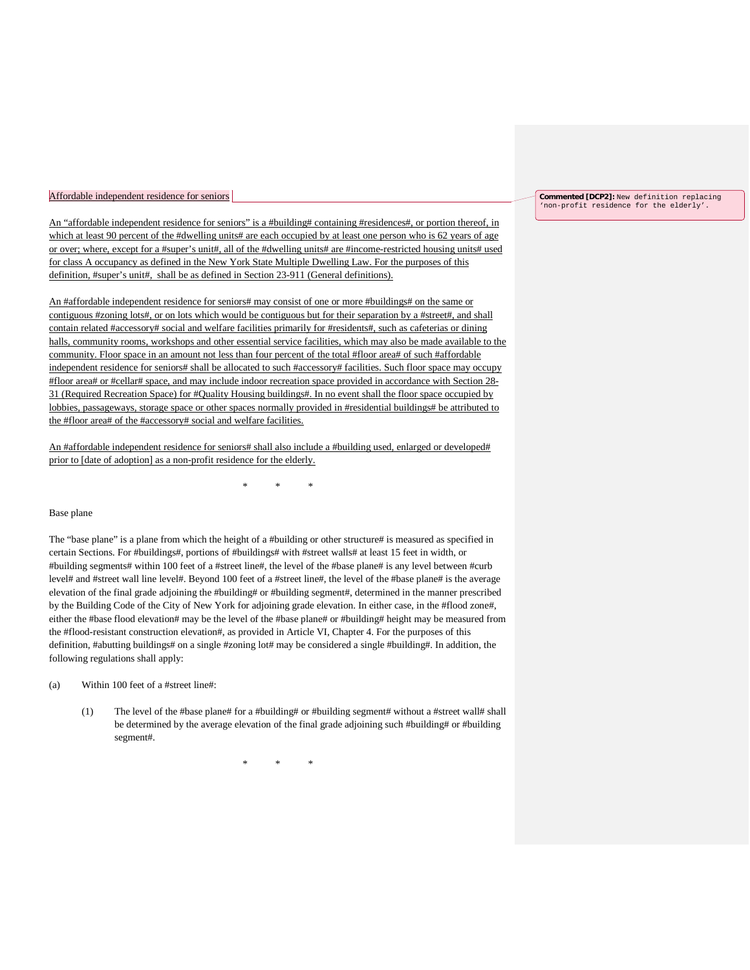#### Affordable independent residence for seniors

An "affordable independent residence for seniors" is a #building# containing #residences#, or portion thereof, in which at least 90 percent of the #dwelling units# are each occupied by at least one person who is 62 years of age or over; where, except for a #super's unit#, all of the #dwelling units# are #income-restricted housing units# used for class A occupancy as defined in the New York State Multiple Dwelling Law. For the purposes of this definition, #super's unit#, shall be as defined in Section 23-911 (General definitions).

An #affordable independent residence for seniors# may consist of one or more #buildings# on the same or contiguous #zoning lots#, or on lots which would be contiguous but for their separation by a #street#, and shall contain related #accessory# social and welfare facilities primarily for #residents#, such as cafeterias or dining halls, community rooms, workshops and other essential service facilities, which may also be made available to the community. Floor space in an amount not less than four percent of the total #floor area# of such #affordable independent residence for seniors# shall be allocated to such #accessory# facilities. Such floor space may occupy #floor area# or #cellar# space, and may include indoor recreation space provided in accordance with Section 28- 31 (Required Recreation Space) for #Quality Housing buildings#. In no event shall the floor space occupied by lobbies, passageways, storage space or other spaces normally provided in #residential buildings# be attributed to the #floor area# of the #accessory# social and welfare facilities.

An #affordable independent residence for seniors# shall also include a #building used, enlarged or developed# prior to [date of adoption] as a non-profit residence for the elderly.

\* \* \*

#### Base plane

The "base plane" is a plane from which the height of a #building or other structure# is measured as specified in certain Sections. For #buildings#, portions of #buildings# with #street walls# at least 15 feet in width, or #building segments# within 100 feet of a #street line#, the level of the #base plane# is any level between #curb level# and #street wall line level#. Beyond 100 feet of a #street line#, the level of the #base plane# is the average elevation of the final grade adjoining the #building# or #building segment#, determined in the manner prescribed by the Building Code of the City of New York for adjoining grade elevation. In either case, in the #flood zone#, either the #base flood elevation# may be the level of the #base plane# or #building# height may be measured from the #flood-resistant construction elevation#, as provided in Article VI, Chapter 4. For the purposes of this definition, #abutting buildings# on a single #zoning lot# may be considered a single #building#. In addition, the following regulations shall apply:

## (a) Within 100 feet of a #street line#:

(1) The level of the #base plane# for a #building# or #building segment# without a #street wall# shall be determined by the average elevation of the final grade adjoining such #building  $\#$  or #building segment#.

\* \* \*

**Commented [DCP2]:** New definition replacing 'non-profit residence for the elderly'.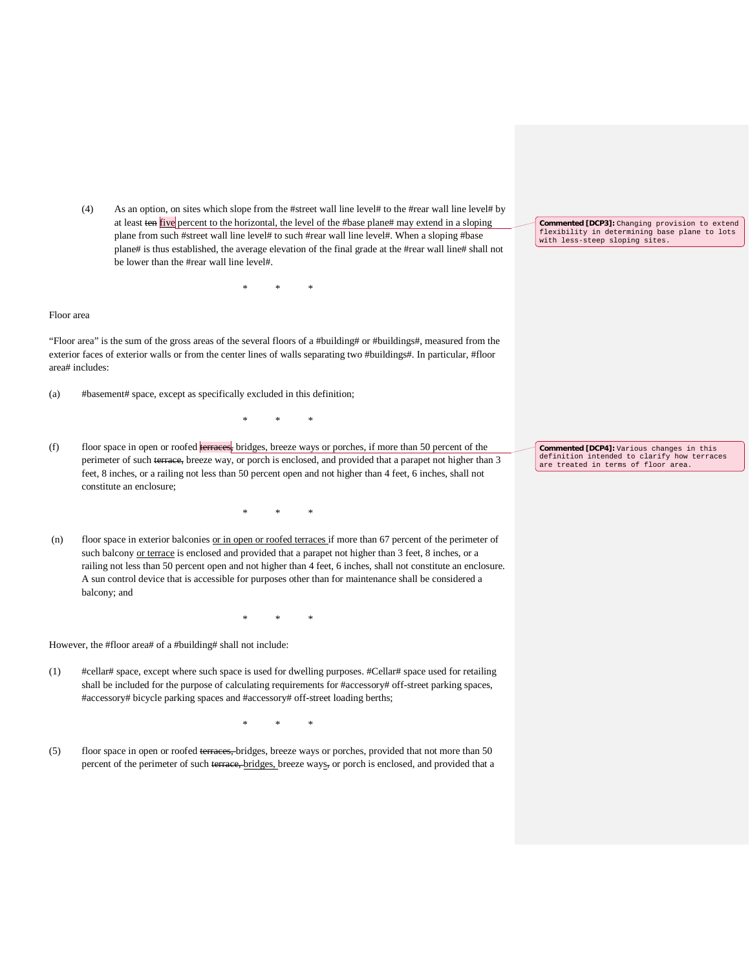(4) As an option, on sites which slope from the #street wall line level# to the #rear wall line level# by at least ten five percent to the horizontal, the level of the #base plane# may extend in a sloping plane from such #street wall line level# to such #rear wall line level#. When a sloping #base plane# is thus established, the average elevation of the final grade at the #rear wall line# shall not be lower than the #rear wall line level#.

\* \* \*

## Floor area

"Floor area" is the sum of the gross areas of the several floors of a #building# or #buildings#, measured from the exterior faces of exterior walls or from the center lines of walls separating two #buildings#. In particular, #floor area# includes:

(a) #basement# space, except as specifically excluded in this definition;

(f) floor space in open or roofed terraces, bridges, breeze ways or porches, if more than 50 percent of the perimeter of such terrace, breeze way, or porch is enclosed, and provided that a parapet not higher than 3 feet, 8 inches, or a railing not less than 50 percent open and not higher than 4 feet, 6 inches, shall not constitute an enclosure;

\* \* \*

(n) floor space in exterior balconies  $or$  in open or roofed terraces if more than 67 percent of the perimeter of</u> such balcony or terrace is enclosed and provided that a parapet not higher than 3 feet, 8 inches, or a railing not less than 50 percent open and not higher than 4 feet, 6 inches, shall not constitute an enclosure. A sun control device that is accessible for purposes other than for maintenance shall be considered a balcony; and

\* \* \*

\* \* \*

However, the #floor area# of a #building# shall not include:

(1) #cellar# space, except where such space is used for dwelling purposes. #Cellar# space used for retailing shall be included for the purpose of calculating requirements for #accessory# off-street parking spaces, #accessory# bicycle parking spaces and #accessory# off-street loading berths;

\* \* \*

(5) floor space in open or roofed terraces, bridges, breeze ways or porches, provided that not more than 50 percent of the perimeter of such terrace, bridges, breeze ways, or porch is enclosed, and provided that a **Commented [DCP3]:** Changing provision to extend flexibility in determining base plane to lots with less-steep sloping sites.

**Commented [DCP4]:** Various changes in this definition intended to clarify how terraces are treated in terms of floor area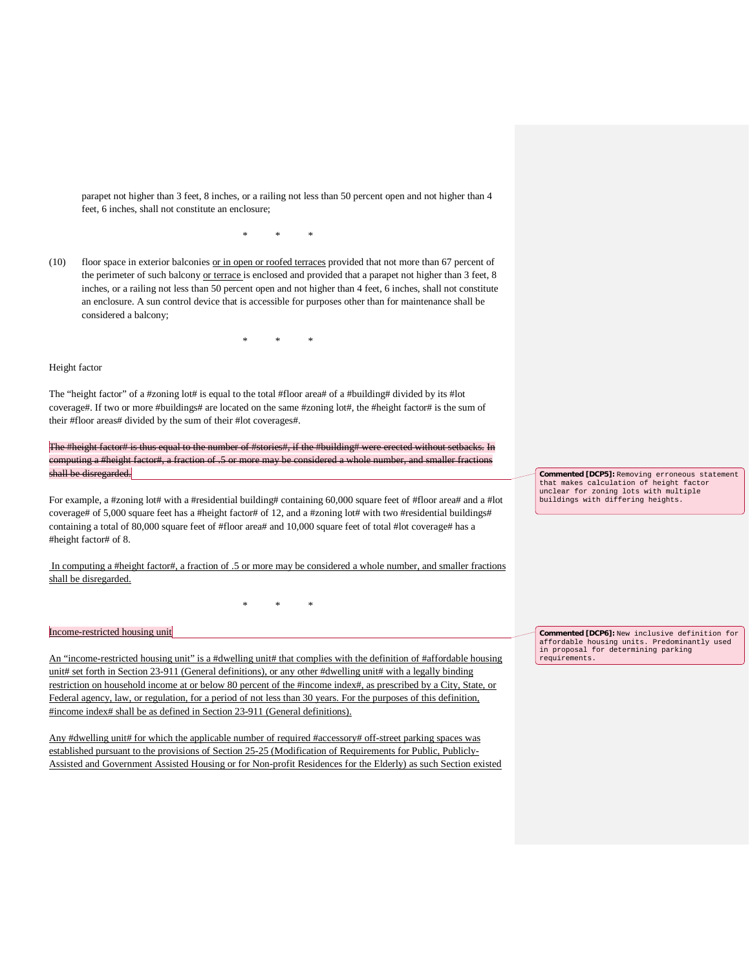parapet not higher than 3 feet, 8 inches, or a railing not less than 50 percent open and not higher than 4 feet, 6 inches, shall not constitute an enclosure;

\* \* \*

(10) floor space in exterior balconies or in open or roofed terraces provided that not more than 67 percent of the perimeter of such balcony or terrace is enclosed and provided that a parapet not higher than 3 feet, 8 inches, or a railing not less than 50 percent open and not higher than 4 feet, 6 inches, shall not constitute an enclosure. A sun control device that is accessible for purposes other than for maintenance shall be considered a balcony;

\* \* \*

## Height factor

The "height factor" of a #zoning lot# is equal to the total #floor area# of a #building# divided by its #lot coverage#. If two or more #buildings# are located on the same #zoning lot#, the #height factor# is the sum of their #floor areas# divided by the sum of their #lot coverages#.

The #height factor# is thus equal to the number of #stories#, if the #building# were erected without setbacks. In computing a #height factor#, a fraction of .5 or more may be considered a whole number, and smaller fractions shall be disregarded.

For example, a #zoning lot# with a #residential building# containing 60,000 square feet of #floor area# and a #lot coverage# of 5,000 square feet has a #height factor# of 12, and a #zoning lot# with two #residential buildings# containing a total of 80,000 square feet of #floor area# and 10,000 square feet of total #lot coverage# has a #height factor# of 8.

In computing a #height factor#, a fraction of .5 or more may be considered a whole number, and smaller fractions shall be disregarded.

\* \* \*

## Income-restricted housing unit

An "income-restricted housing unit" is a #dwelling unit# that complies with the definition of #affordable housing unit# set forth in Section 23-911 (General definitions), or any other #dwelling unit# with a legally binding restriction on household income at or below 80 percent of the #income index#, as prescribed by a City, State, or Federal agency, law, or regulation, for a period of not less than 30 years. For the purposes of this definition, #income index# shall be as defined in Section 23-911 (General definitions).

Any #dwelling unit# for which the applicable number of required #accessory# off-street parking spaces was established pursuant to the provisions of Section 25-25 (Modification of Requirements for Public, Publicly-Assisted and Government Assisted Housing or for Non-profit Residences for the Elderly) as such Section existed **Commented [DCP5]:** Removing erroneous statement that makes calculation of height factor unclear for zoning lots with multiple buildings with differing heights.

**Commented [DCP6]:** New inclusive definition for affordable housing units. Predominantly used in proposal for determining parking requirements.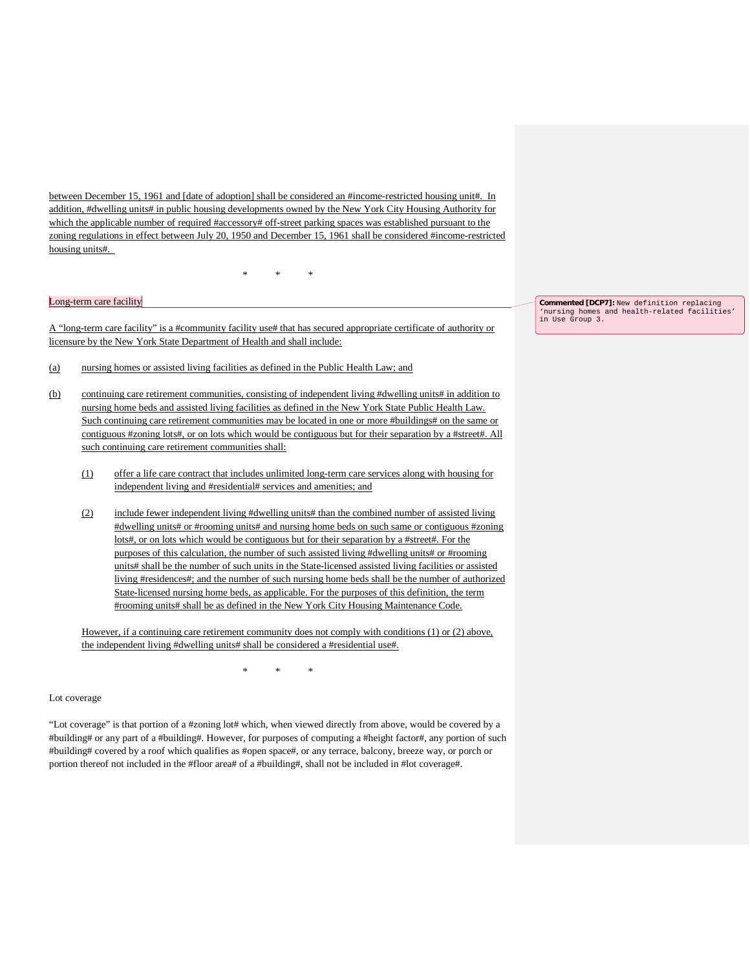between December 15, 1961 and [date of adoption] shall be considered an #income-restricted housing unit#. In addition, #dwelling units# in public housing developments owned by the New York City Housing Authority for which the applicable number of required #accessory# off-street parking spaces was established pursuant to the zoning regulations in effect between July 20, 1950 and December 15, 1961 shall be considered #income-restricted housing units#.

\* \* \*

Long-term care facility

A "long-term care facility" is a #community facility use# that has secured appropriate certificate of authority or licensure by the New York State Department of Health and shall include:

- (a) nursing homes or assisted living facilities as defined in the Public Health Law; and
- (b) continuing care retirement communities, consisting of independent living #dwelling units# in addition to nursing home beds and assisted living facilities as defined in the New York State Public Health Law. Such continuing care retirement communities may be located in one or more #buildings# on the same or contiguous #zoning lots#, or on lots which would be contiguous but for their separation by a #street#. All such continuing care retirement communities shall:
	- (1) offer a life care contract that includes unlimited long-term care services along with housing for independent living and #residential# services and amenities; and
	- (2) include fewer independent living #dwelling units# than the combined number of assisted living #dwelling units# or #rooming units# and nursing home beds on such same or contiguous #zoning lots#, or on lots which would be contiguous but for their separation by a #street#. For the purposes of this calculation, the number of such assisted living #dwelling units# or #rooming units# shall be the number of such units in the State-licensed assisted living facilities or assisted living #residences#; and the number of such nursing home beds shall be the number of authorized State-licensed nursing home beds, as applicable. For the purposes of this definition, the term #rooming units# shall be as defined in the New York City Housing Maintenance Code.

However, if a continuing care retirement community does not comply with conditions (1) or (2) above, the independent living #dwelling units# shall be considered a #residential use#.

\* \* \*

Lot coverage

"Lot coverage" is that portion of a #zoning lot# which, when viewed directly from above, would be covered by a #building# or any part of a #building#. However, for purposes of computing a #height factor#, any portion of such #building# covered by a roof which qualifies as #open space#, or any terrace, balcony, breeze way, or porch or portion thereof not included in the #floor area# of a #building#, shall not be included in #lot coverage#.

**Commented [DCP7]:** New definition replacing 'nursing homes and health-related facilities' in Use Group 3.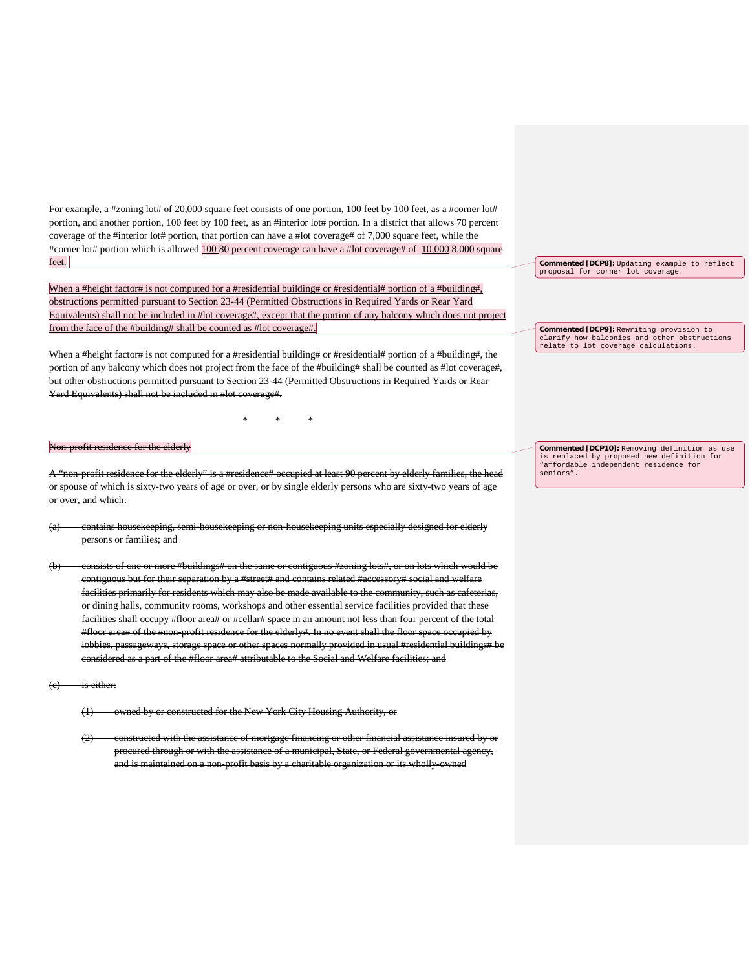For example, a #zoning lot# of 20,000 square feet consists of one portion, 100 feet by 100 feet, as a #corner lot# portion, and another portion, 100 feet by 100 feet, as an #interior lot# portion. In a district that allows 70 percent coverage of the #interior lot# portion, that portion can have a #lot coverage# of 7,000 square feet, while the #corner lot# portion which is allowed 100 80 percent coverage can have a #lot coverage# of 10,000 8,000 square feet.

When a #height factor# is not computed for a #residential building# or #residential# portion of a #building#, obstructions permitted pursuant to Section 23-44 (Permitted Obstructions in Required Yards or Rear Yard Equivalents) shall not be included in #lot coverage#, except that the portion of any balcony which does not project from the face of the #building# shall be counted as #lot coverage#.

When a #height factor# is not computed for a #residential building# or #residential# portion of a #building#, the portion of any balcony which does not project from the face of the #building# shall be counted as #lot coverage#, but other obstructions permitted pursuant to Section 23-44 (Permitted Obstructions in Required Yards or Rear Yard Equivalents) shall not be included in #lot coverage#.

\* \* \*

#### Non-profit residence for the elderly

A "non-profit residence for the elderly" is a #residence# occupied at least 90 percent by elderly families, the head or spouse of which is sixty-two years of age or over, or by single elderly persons who are sixty-two years of age over, and which:

- (a) contains housekeeping, semi-housekeeping or non-housekeeping units especially designed for elderly persons or families; and
- (b) consists of one or more #buildings# on the same or contiguous #zoning lots#, or on lots which would be contiguous but for their separation by a #street# and contains related #accessory# social and welfare facilities primarily for residents which may also be made available to the community, such as cafeterias, or dining halls, community rooms, workshops and other essential service facilities provided that these facilities shall occupy #floor area# or #cellar# space in an amount not less than four percent of the total #floor area# of the #non-profit residence for the elderly#. In no event shall the floor space occupied by lobbies, passageways, storage space or other spaces normally provided in usual #residential buildings# be considered as a part of the #floor area# attributable to the Social and Welfare facilities; and

is either:

- (1) owned by or constructed for the New York City Housing Authority, or
- (2) constructed with the assistance of mortgage financing or other financial assistance insured by or procured through or with the assistance of a municipal, State, or Federal governmental agency, and is maintained on a non-profit basis by a charitable organization or its wholly-owned

**Commented [DCP8]:** Updating example to reflect proposal for corner lot coverage.

**Commented [DCP9]:** Rewriting provision to clarify how balconies and other obstructions relate to lot coverage calculations.

**Commented [DCP10]:** Removing definition as use is replaced by proposed new definition for "affordable independent residence for seniors".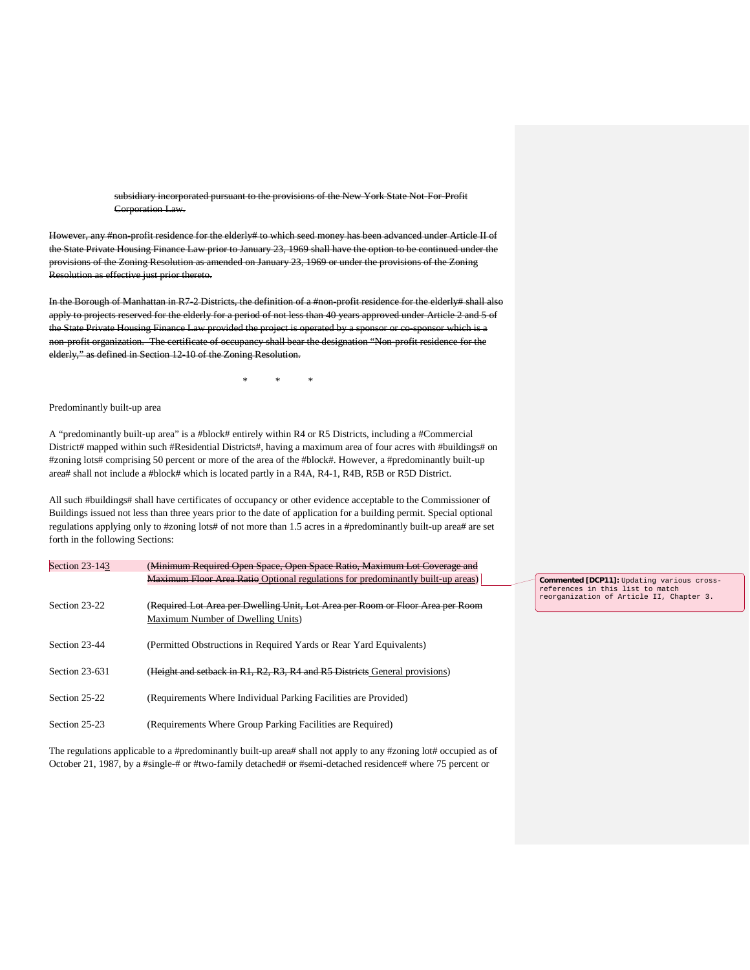subsidiary incorporated pursuant to the provisions of the New York State Not-For-Profit Corporation Law.

However, any #non-profit residence for the elderly# to which seed money has been advanced under Article II of the State Private Housing Finance Law prior to January 23, 1969 shall have the option to be continued under the provisions of the Zoning Resolution as amended on January 23, 1969 or under the provisions of the Zoning Resolution as effective just prior thereto.

In the Borough of Manhattan in R7-2 Districts, the definition of a #non-profit residence for the elderly# shall also apply to projects reserved for the elderly for a period of not less than 40 years approved under Article 2 and 5 of the State Private Housing Finance Law provided the project is operated by a sponsor or co-sponsor which is a non-profit organization. The certificate of occupancy shall bear the designation "Non-profit residence for the elderly," as defined in Section 12-10 of the Zoning Resolution.

\* \* \*

Predominantly built-up area

A "predominantly built-up area" is a #block# entirely within R4 or R5 Districts, including a #Commercial District# mapped within such #Residential Districts#, having a maximum area of four acres with #buildings# on #zoning lots# comprising 50 percent or more of the area of the #block#. However, a #predominantly built-up area# shall not include a #block# which is located partly in a R4A, R4-1, R4B, R5B or R5D District.

All such #buildings# shall have certificates of occupancy or other evidence acceptable to the Commissioner of Buildings issued not less than three years prior to the date of application for a building permit. Special optional regulations applying only to #zoning lots# of not more than 1.5 acres in a #predominantly built-up area# are set forth in the following Sections:

| (Minimum Required Open Space, Open Space Ratio, Maximum Lot Coverage and                   |
|--------------------------------------------------------------------------------------------|
| <b>Maximum Floor Area Ratio</b> Optional regulations for predominantly built-up areas)     |
|                                                                                            |
| ( <del>Required Lot Area per Dwelling Unit, Lot Area per Room or Floor Area per Room</del> |
| Maximum Number of Dwelling Units)                                                          |
|                                                                                            |
| (Permitted Obstructions in Required Yards or Rear Yard Equivalents)                        |
|                                                                                            |
| (Height and setback in R1, R2, R3, R4 and R5 Districts General provisions)                 |
|                                                                                            |
| (Requirements Where Individual Parking Facilities are Provided)                            |
|                                                                                            |
| (Requirements Where Group Parking Facilities are Required)                                 |
|                                                                                            |

The regulations applicable to a #predominantly built-up area# shall not apply to any #zoning lot# occupied as of October 21, 1987, by a #single-# or #two-family detached# or #semi-detached residence# where 75 percent or

**Commented [DCP11]:** Updating various crossreferences in this list to match reorganization of Article II, Chapter 3.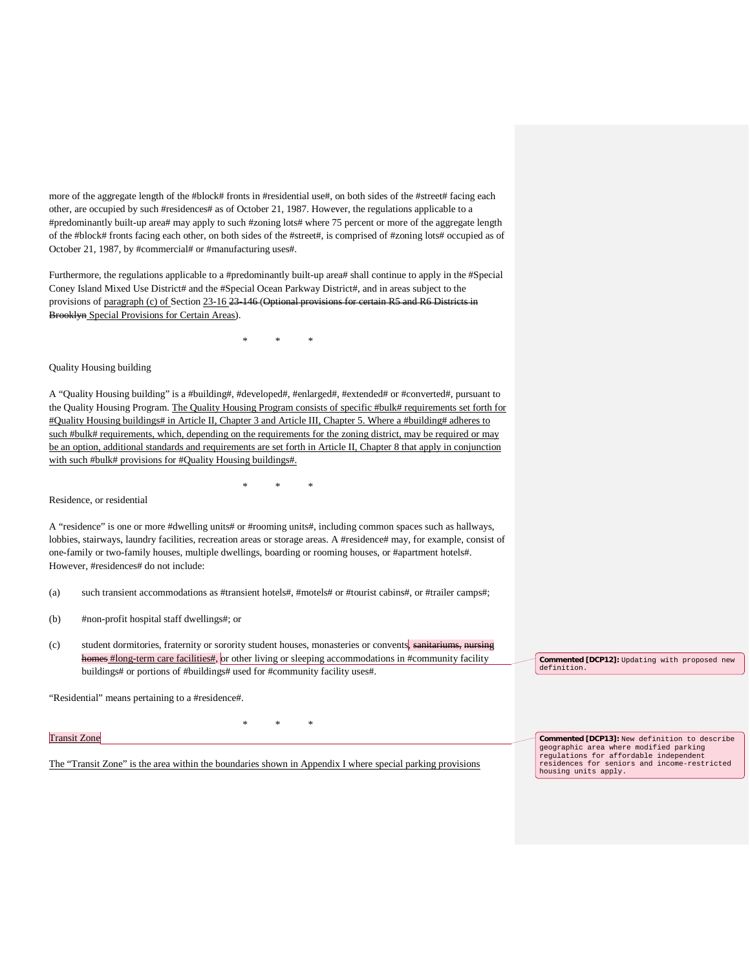more of the aggregate length of the #block# fronts in #residential use#, on both sides of the #street# facing each other, are occupied by such #residences# as of October 21, 1987. However, the regulations applicable to a #predominantly built-up area# may apply to such #zoning lots# where 75 percent or more of the aggregate length of the #block# fronts facing each other, on both sides of the #street#, is comprised of #zoning lots# occupied as of October 21, 1987, by #commercial# or #manufacturing uses#.

Furthermore, the regulations applicable to a #predominantly built-up area# shall continue to apply in the #Special Coney Island Mixed Use District# and the #Special Ocean Parkway District#, and in areas subject to the provisions of paragraph (c) of Section 23-16 23-146 (Optional provisions for certain R5 and R6 Districts in Brooklyn Special Provisions for Certain Areas).

\* \* \*

#### Quality Housing building

A "Quality Housing building" is a #building#, #developed#, #enlarged#, #extended# or #converted#, pursuant to the Quality Housing Program. The Quality Housing Program consists of specific #bulk# requirements set forth for #Quality Housing buildings# in Article II, Chapter 3 and Article III, Chapter 5. Where a #building# adheres to such #bulk# requirements, which, depending on the requirements for the zoning district, may be required or may be an option, additional standards and requirements are set forth in Article II, Chapter 8 that apply in conjunction with such #bulk# provisions for #Quality Housing buildings#.

\* \* \*

Residence, or residential

A "residence" is one or more #dwelling units# or #rooming units#, including common spaces such as hallways, lobbies, stairways, laundry facilities, recreation areas or storage areas. A #residence# may, for example, consist of one-family or two-family houses, multiple dwellings, boarding or rooming houses, or #apartment hotels#. However, #residences# do not include:

(a) such transient accommodations as #transient hotels#, #motels# or #tourist cabins#, or #trailer camps#;

(b) #non-profit hospital staff dwellings#; or

(c) student dormitories, fraternity or sorority student houses, monasteries or convents, sanitariums, nursing homes #long-term care facilities#, or other living or sleeping accommodations in #community facility buildings# or portions of #buildings# used for #community facility uses#.

\* \* \*

"Residential" means pertaining to a #residence#.

Transit Zone

The "Transit Zone" is the area within the boundaries shown in Appendix I where special parking provisions

**Commented [DCP12]:** Updating with proposed new definition.

**Commented [DCP13]:** New definition to describe geographic area where modified parking regulations for affordable independent residences for seniors and income-restricted housing units apply.